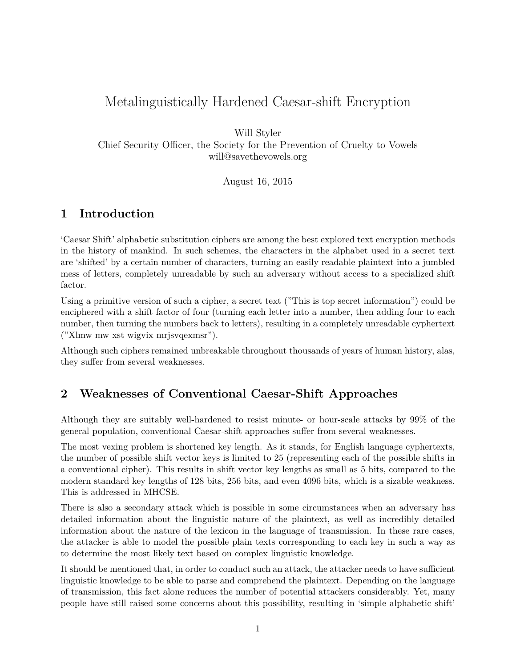# Metalinguistically Hardened Caesar-shift Encryption

Will Styler

Chief Security Officer, the Society for the Prevention of Cruelty to Vowels will@savethevowels.org

August 16, 2015

## **1 Introduction**

'Caesar Shift' alphabetic substitution ciphers are among the best explored text encryption methods in the history of mankind. In such schemes, the characters in the alphabet used in a secret text are 'shifted' by a certain number of characters, turning an easily readable plaintext into a jumbled mess of letters, completely unreadable by such an adversary without access to a specialized shift factor.

Using a primitive version of such a cipher, a secret text ("This is top secret information") could be enciphered with a shift factor of four (turning each letter into a number, then adding four to each number, then turning the numbers back to letters), resulting in a completely unreadable cyphertext ("Xlmw mw xst wigvix mrjsvqexmsr").

Although such ciphers remained unbreakable throughout thousands of years of human history, alas, they suffer from several weaknesses.

## **2 Weaknesses of Conventional Caesar-Shift Approaches**

Although they are suitably well-hardened to resist minute- or hour-scale attacks by 99% of the general population, conventional Caesar-shift approaches suffer from several weaknesses.

The most vexing problem is shortened key length. As it stands, for English language cyphertexts, the number of possible shift vector keys is limited to 25 (representing each of the possible shifts in a conventional cipher). This results in shift vector key lengths as small as 5 bits, compared to the modern standard key lengths of 128 bits, 256 bits, and even 4096 bits, which is a sizable weakness. This is addressed in MHCSE.

There is also a secondary attack which is possible in some circumstances when an adversary has detailed information about the linguistic nature of the plaintext, as well as incredibly detailed information about the nature of the lexicon in the language of transmission. In these rare cases, the attacker is able to model the possible plain texts corresponding to each key in such a way as to determine the most likely text based on complex linguistic knowledge.

It should be mentioned that, in order to conduct such an attack, the attacker needs to have sufficient linguistic knowledge to be able to parse and comprehend the plaintext. Depending on the language of transmission, this fact alone reduces the number of potential attackers considerably. Yet, many people have still raised some concerns about this possibility, resulting in 'simple alphabetic shift'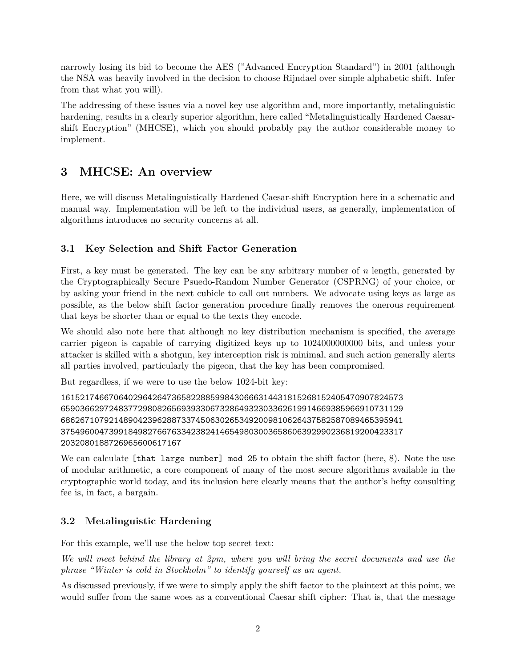narrowly losing its bid to become the AES ("Advanced Encryption Standard") in 2001 (although the NSA was heavily involved in the decision to choose Rijndael over simple alphabetic shift. Infer from that what you will).

The addressing of these issues via a novel key use algorithm and, more importantly, metalinguistic hardening, results in a clearly superior algorithm, here called "Metalinguistically Hardened Caesarshift Encryption" (MHCSE), which you should probably pay the author considerable money to implement.

# **3 MHCSE: An overview**

Here, we will discuss Metalinguistically Hardened Caesar-shift Encryption here in a schematic and manual way. Implementation will be left to the individual users, as generally, implementation of algorithms introduces no security concerns at all.

### **3.1 Key Selection and Shift Factor Generation**

First, a key must be generated. The key can be any arbitrary number of *n* length, generated by the Cryptographically Secure Psuedo-Random Number Generator (CSPRNG) of your choice, or by asking your friend in the next cubicle to call out numbers. We advocate using keys as large as possible, as the below shift factor generation procedure finally removes the onerous requirement that keys be shorter than or equal to the texts they encode.

We should also note here that although no key distribution mechanism is specified, the average carrier pigeon is capable of carrying digitized keys up to 1024000000000 bits, and unless your attacker is skilled with a shotgun, key interception risk is minimal, and such action generally alerts all parties involved, particularly the pigeon, that the key has been compromised.

But regardless, if we were to use the below 1024-bit key:

```
16152174667064029642647365822885998430666314431815268152405470907824573
65903662972483772980826569393306732864932303362619914669385966910731129
68626710792148904239628873374506302653492009810626437582587089465395941
37549600473991849827667633423824146549803003658606392990236819200423317
2032080188726965600617167
```
We can calculate [that large number] mod 25 to obtain the shift factor (here, 8). Note the use of modular arithmetic, a core component of many of the most secure algorithms available in the cryptographic world today, and its inclusion here clearly means that the author's hefty consulting fee is, in fact, a bargain.

## **3.2 Metalinguistic Hardening**

For this example, we'll use the below top secret text:

*We will meet behind the library at 2pm, where you will bring the secret documents and use the phrase "Winter is cold in Stockholm" to identify yourself as an agent.*

As discussed previously, if we were to simply apply the shift factor to the plaintext at this point, we would suffer from the same woes as a conventional Caesar shift cipher: That is, that the message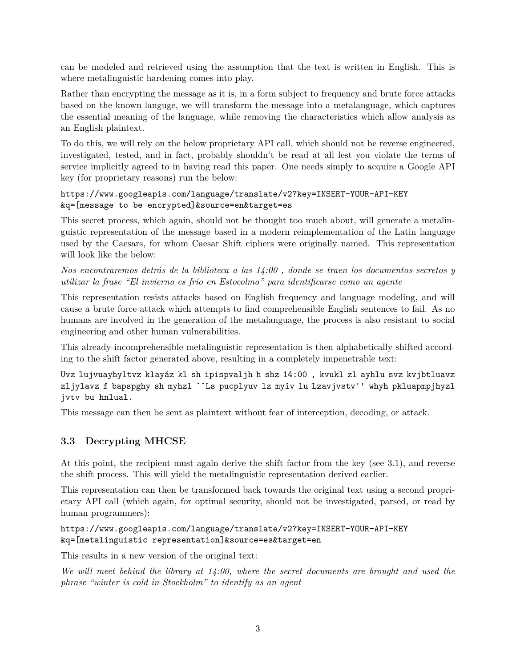can be modeled and retrieved using the assumption that the text is written in English. This is where metalinguistic hardening comes into play.

Rather than encrypting the message as it is, in a form subject to frequency and brute force attacks based on the known languge, we will transform the message into a metalanguage, which captures the essential meaning of the language, while removing the characteristics which allow analysis as an English plaintext.

To do this, we will rely on the below proprietary API call, which should not be reverse engineered, investigated, tested, and in fact, probably shouldn't be read at all lest you violate the terms of service implicitly agreed to in having read this paper. One needs simply to acquire a Google API key (for proprietary reasons) run the below:

#### https://www.googleapis.com/language/translate/v2?key=INSERT-YOUR-API-KEY &q=[message to be encrypted]&source=en&target=es

This secret process, which again, should not be thought too much about, will generate a metalinguistic representation of the message based in a modern reimplementation of the Latin language used by the Caesars, for whom Caesar Shift ciphers were originally named. This representation will look like the below:

*Nos encontraremos detrás de la biblioteca a las 14:00 , donde se traen los documentos secretos y utilizar la frase "El invierno es frío en Estocolmo" para identificarse como un agente*

This representation resists attacks based on English frequency and language modeling, and will cause a brute force attack which attempts to find comprehensible English sentences to fail. As no humans are involved in the generation of the metalanguage, the process is also resistant to social engineering and other human vulnerabilities.

This already-incomprehensible metalinguistic representation is then alphabetically shifted according to the shift factor generated above, resulting in a completely impenetrable text:

Uvz lujvuayhyltvz klayáz kl sh ipispvaljh h shz 14:00 , kvukl zl ayhlu svz kvjbtluavz zljylavz f bapspghy sh myhzl ``Ls pucplyuv lz myív lu Lzavjvstv'' whyh pkluapmpjhyzl jvtv bu hnlual.

This message can then be sent as plaintext without fear of interception, decoding, or attack.

### **3.3 Decrypting MHCSE**

At this point, the recipient must again derive the shift factor from the key (see 3.1), and reverse the shift process. This will yield the metalinguistic representation derived earlier.

This representation can then be transformed back towards the original text using a second proprietary API call (which again, for optimal security, should not be investigated, parsed, or read by human programmers):

#### https://www.googleapis.com/language/translate/v2?key=INSERT-YOUR-API-KEY &q=[metalinguistic representation]&source=es&target=en

This results in a new version of the original text:

*We will meet behind the library at 14:00, where the secret documents are brought and used the phrase "winter is cold in Stockholm" to identify as an agent*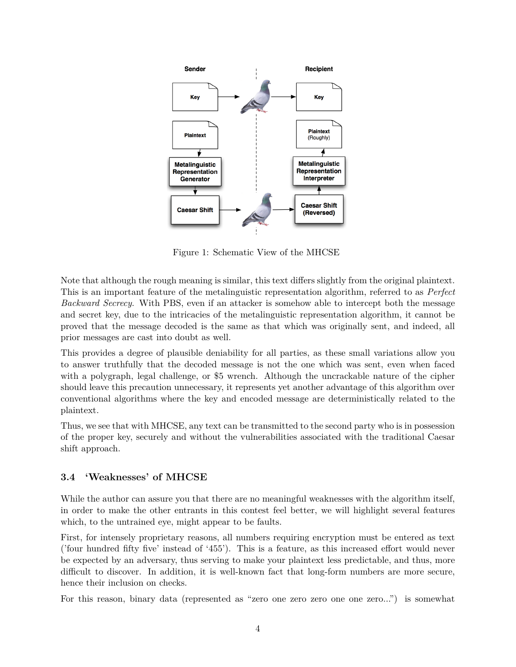

Figure 1: Schematic View of the MHCSE

Note that although the rough meaning is similar, this text differs slightly from the original plaintext. This is an important feature of the metalinguistic representation algorithm, referred to as *Perfect Backward Secrecy*. With PBS, even if an attacker is somehow able to intercept both the message and secret key, due to the intricacies of the metalinguistic representation algorithm, it cannot be proved that the message decoded is the same as that which was originally sent, and indeed, all prior messages are cast into doubt as well.

This provides a degree of plausible deniability for all parties, as these small variations allow you to answer truthfully that the decoded message is not the one which was sent, even when faced with a polygraph, legal challenge, or \$5 wrench. Although the uncrackable nature of the cipher should leave this precaution unnecessary, it represents yet another advantage of this algorithm over conventional algorithms where the key and encoded message are deterministically related to the plaintext.

Thus, we see that with MHCSE, any text can be transmitted to the second party who is in possession of the proper key, securely and without the vulnerabilities associated with the traditional Caesar shift approach.

### **3.4 'Weaknesses' of MHCSE**

While the author can assure you that there are no meaningful weaknesses with the algorithm itself, in order to make the other entrants in this contest feel better, we will highlight several features which, to the untrained eye, might appear to be faults.

First, for intensely proprietary reasons, all numbers requiring encryption must be entered as text ('four hundred fifty five' instead of '455'). This is a feature, as this increased effort would never be expected by an adversary, thus serving to make your plaintext less predictable, and thus, more difficult to discover. In addition, it is well-known fact that long-form numbers are more secure, hence their inclusion on checks.

For this reason, binary data (represented as "zero one zero zero one one zero...") is somewhat